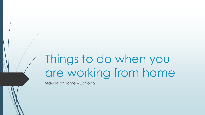# Things to do when you are working from home

Staying at home – Edition 2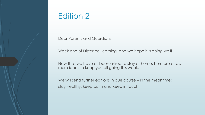## Edition 2

Dear Parents and Guardians

Week one of Distance Learning, and we hope it is going well!

Now that we have all been asked to stay at home, here are a few more ideas to keep you all going this week.

We will send further editions in due course – in the meantime: stay healthy, keep calm and keep in touch!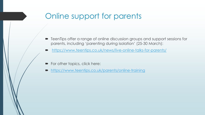## Online support for parents

- TeenTips offer a range of online discussion groups and support sessions for parents, including 'parenting during isolation' (25-30 March):
- <https://www.teentips.co.uk/news/live-online-talks-for-parents/>
- For other topics, click here:
- <https://www.teentips.co.uk/parents/online-training>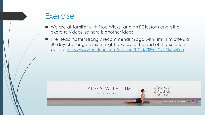## **Exercise**

- We are all familiar with 'Joe Wicks' and his PE lessons and other exercise videos, so here is another idea:
- The Headmaster strongly recommends 'Yoga with Tim'. Tim offers a 30-day challenge, which might take us to the end of the isolation period: <https://www.youtube.com/channel/UCciuZl2ydLCvN5txlLW0rIg>

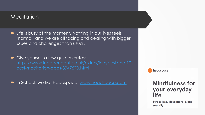#### **Meditation**

- **Example 1** Life is busy at the moment. Nothing in our lives feels 'normal' and we are all facing and dealing with bigger issues and challenges than usual.
- Give yourself a few quiet minutes: [https://www.independent.co.uk/extras/indybest/the-10](https://www.independent.co.uk/extras/indybest/the-10-best-meditation-apps-8947570.html) best-meditation-apps-8947570.html
- In School, we like Headspace: [www.headspace.com](http://www.headspace.com/)

headspace

#### **Mindfulness for** your everyday **life**

**Stress less. Move more. Sleep** soundly.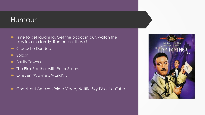#### Humour

- $\blacksquare$  Time to get laughing. Get the popcorn out, watch the classics as a family. Remember these?
- **Crocodile Dundee**
- **Splash**
- **Faulty Towers**
- The Pink Panther with Peter Sellers
- Or even 'Wayne's World'…
- Check out Amazon Prime Video, Netflix, Sky TV or YouTube

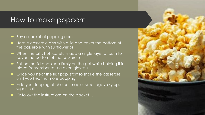#### How to make popcorn

- Buy a packet of popping corn
- Heat a casserole dish with a lid and cover the bottom of the casserole with sunflower oil
- When the oil is hot, carefully add a single layer of corn to cover the bottom of the casserole
- Put on the lid and keep firmly on the pot while holding it in place (remember to use oven gloves!)
- Once you hear the first pop, start to shake the casserole until you hear no more popping
- Add your topping of choice; maple syrup, agave syrup, sugar, salt…
- Or follow the instructions on the packet…

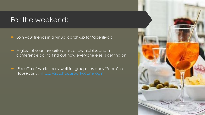### For the weekend:

- Join your friends in a virtual catch-up for 'aperitivo':
- A glass of your favourite drink, a few nibbles and a conference call to find out how everyone else is getting on.
- 'FaceTime' works really well for groups, as does 'Zoom', or Houseparty:<https://app.houseparty.com/login>